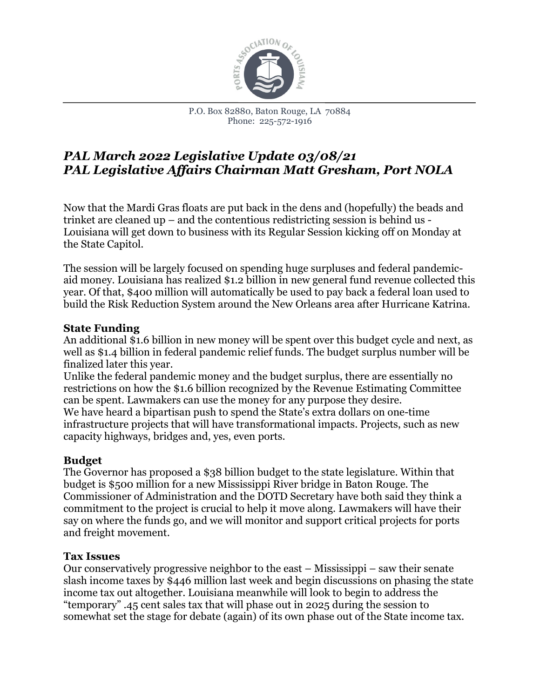

# *PAL March 2022 Legislative Update 03/08/21 PAL Legislative Affairs Chairman Matt Gresham, Port NOLA*

Now that the Mardi Gras floats are put back in the dens and (hopefully) the beads and trinket are cleaned up – and the contentious redistricting session is behind us - Louisiana will get down to business with its Regular Session kicking off on Monday at the State Capitol.

The session will be largely focused on spending huge surpluses and federal pandemicaid money. Louisiana has realized \$1.2 billion in new general fund revenue collected this year. Of that, \$400 million will automatically be used to pay back a federal loan used to build the Risk Reduction System around the New Orleans area after Hurricane Katrina.

# **State Funding**

An additional \$1.6 billion in new money will be spent over this budget cycle and next, as well as \$1.4 billion in federal pandemic relief funds. The budget surplus number will be finalized later this year.

Unlike the federal pandemic money and the budget surplus, there are essentially no restrictions on how the \$1.6 billion recognized by the Revenue Estimating Committee can be spent. Lawmakers can use the money for any purpose they desire. We have heard a bipartisan push to spend the State's extra dollars on one-time infrastructure projects that will have transformational impacts. Projects, such as new capacity highways, bridges and, yes, even ports.

# **Budget**

The Governor has proposed a \$38 billion budget to the state legislature. Within that budget is \$500 million for a new Mississippi River bridge in Baton Rouge. The Commissioner of Administration and the DOTD Secretary have both said they think a commitment to the project is crucial to help it move along. Lawmakers will have their say on where the funds go, and we will monitor and support critical projects for ports and freight movement.

#### **Tax Issues**

Our conservatively progressive neighbor to the east – Mississippi – saw their senate slash income taxes by \$446 million last week and begin discussions on phasing the state income tax out altogether. Louisiana meanwhile will look to begin to address the "temporary" .45 cent sales tax that will phase out in 2025 during the session to somewhat set the stage for debate (again) of its own phase out of the State income tax.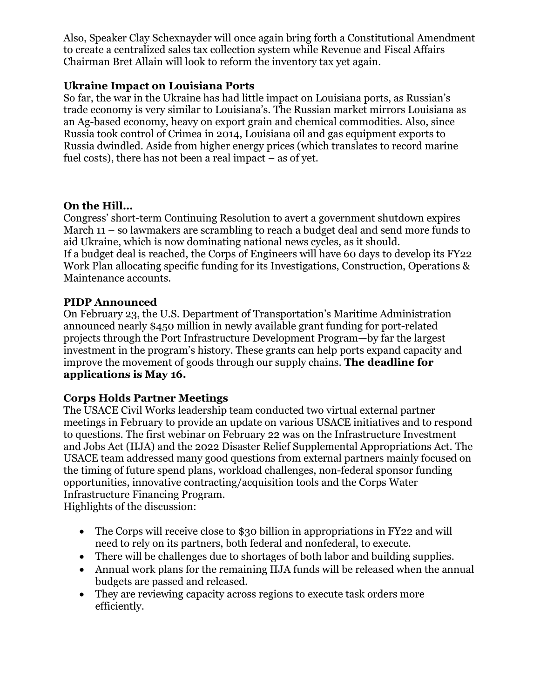Also, Speaker Clay Schexnayder will once again bring forth a Constitutional Amendment to create a centralized sales tax collection system while Revenue and Fiscal Affairs Chairman Bret Allain will look to reform the inventory tax yet again.

### **Ukraine Impact on Louisiana Ports**

So far, the war in the Ukraine has had little impact on Louisiana ports, as Russian's trade economy is very similar to Louisiana's. The Russian market mirrors Louisiana as an Ag-based economy, heavy on export grain and chemical commodities. Also, since Russia took control of Crimea in 2014, Louisiana oil and gas equipment exports to Russia dwindled. Aside from higher energy prices (which translates to record marine fuel costs), there has not been a real impact – as of yet.

#### **On the Hill…**

Congress' short-term Continuing Resolution to avert a government shutdown expires March 11 – so lawmakers are scrambling to reach a budget deal and send more funds to aid Ukraine, which is now dominating national news cycles, as it should. If a budget deal is reached, the Corps of Engineers will have 60 days to develop its FY22 Work Plan allocating specific funding for its Investigations, Construction, Operations & Maintenance accounts.

#### **PIDP Announced**

On February 23, the U.S. Department of Transportation's Maritime Administration announced nearly \$450 million in newly available grant funding for port-related projects through the Port Infrastructure Development Program—by far the largest investment in the program's history. These grants can help ports expand capacity and improve the movement of goods through our supply chains. **The deadline for applications is May 16.**

# **Corps Holds Partner Meetings**

The USACE Civil Works leadership team conducted two virtual external partner meetings in February to provide an update on various USACE initiatives and to respond to questions. The first webinar on February 22 was on the Infrastructure Investment and Jobs Act (IIJA) and the 2022 Disaster Relief Supplemental Appropriations Act. The USACE team addressed many good questions from external partners mainly focused on the timing of future spend plans, workload challenges, non-federal sponsor funding opportunities, innovative contracting/acquisition tools and the Corps Water Infrastructure Financing Program.

Highlights of the discussion:

- The Corps will receive close to \$30 billion in appropriations in FY22 and will need to rely on its partners, both federal and nonfederal, to execute.
- There will be challenges due to shortages of both labor and building supplies.
- Annual work plans for the remaining IIJA funds will be released when the annual budgets are passed and released.
- They are reviewing capacity across regions to execute task orders more efficiently.